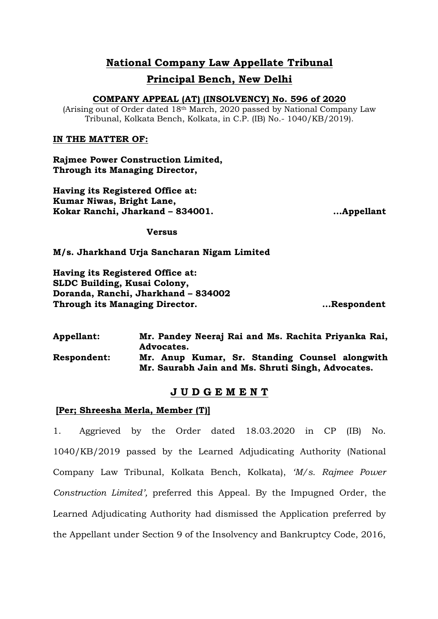### **National Company Law Appellate Tribunal Principal Bench, New Delhi**

### **COMPANY APPEAL (AT) (INSOLVENCY) No. 596 of 2020**

(Arising out of Order dated 18th March, 2020 passed by National Company Law Tribunal, Kolkata Bench, Kolkata, in C.P. (IB) No.- 1040/KB/2019).

### **IN THE MATTER OF:**

**Rajmee Power Construction Limited, Through its Managing Director,**

**Having its Registered Office at: Kumar Niwas, Bright Lane, Kokar Ranchi, Jharkand – 834001.**

 **...Appellant**

**Versus**

**M/s. Jharkhand Urja Sancharan Nigam Limited**

**Having its Registered Office at: SLDC Building, Kusai Colony, Doranda, Ranchi, Jharkhand – 834002 Through its Managing Director.**

 **...Respondent**

| <b>Appellant:</b>  | Mr. Pandey Neeraj Rai and Ms. Rachita Priyanka Rai,<br>Advocates.                                   |
|--------------------|-----------------------------------------------------------------------------------------------------|
| <b>Respondent:</b> | Mr. Anup Kumar, Sr. Standing Counsel alongwith<br>Mr. Saurabh Jain and Ms. Shruti Singh, Advocates. |

### **J U D G E M E N T**

### **[Per; Shreesha Merla, Member (T)]**

1. Aggrieved by the Order dated 18.03.2020 in CP (IB) No. 1040/KB/2019 passed by the Learned Adjudicating Authority (National Company Law Tribunal, Kolkata Bench, Kolkata), *'M/s. Rajmee Power Construction Limited',* preferred this Appeal. By the Impugned Order, the Learned Adjudicating Authority had dismissed the Application preferred by the Appellant under Section 9 of the Insolvency and Bankruptcy Code, 2016,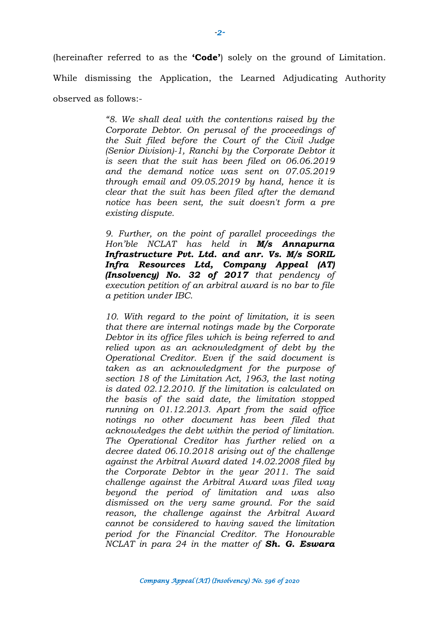(hereinafter referred to as the **'Code'**) solely on the ground of Limitation. While dismissing the Application, the Learned Adjudicating Authority observed as follows:-

> *"8. We shall deal with the contentions raised by the Corporate Debtor. On perusal of the proceedings of the Suit filed before the Court of the Civil Judge (Senior Division)-1, Ranchi by the Corporate Debtor it is seen that the suit has been filed on 06.06.2019 and the demand notice was sent on 07.05.2019 through email and 09.05.2019 by hand, hence it is clear that the suit has been filed after the demand notice has been sent, the suit doesn't form a pre existing dispute.*

> *9. Further, on the point of parallel proceedings the Hon'ble NCLAT has held in M/s Annapurna Infrastructure Pvt. Ltd. and anr. Vs. M/s SORIL Infra Resources Ltd, Company Appeal (AT) (Insolvency) No. 32 of 2017 that pendency of execution petition of an arbitral award is no bar to file a petition under IBC.*

> *10. With regard to the point of limitation, it is seen that there are internal notings made by the Corporate Debtor in its office files which is being referred to and relied upon as an acknowledgment of debt by the Operational Creditor. Even if the said document is taken as an acknowledgment for the purpose of section 18 of the Limitation Act, 1963, the last noting is dated 02.12.2010. If the limitation is calculated on the basis of the said date, the limitation stopped running on 01.12.2013. Apart from the said office notings no other document has been filed that acknowledges the debt within the period of limitation. The Operational Creditor has further relied on a decree dated 06.10.2018 arising out of the challenge against the Arbitral Award dated 14.02.2008 filed by the Corporate Debtor in the year 2011. The said challenge against the Arbitral Award was filed way beyond the period of limitation and was also dismissed on the very same ground. For the said reason, the challenge against the Arbitral Award cannot be considered to having saved the limitation period for the Financial Creditor. The Honourable NCLAT in para 24 in the matter of Sh. G. Eswara*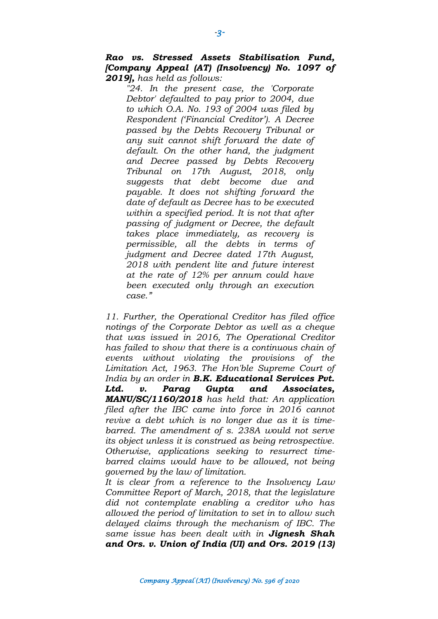*Rao vs. Stressed Assets Stabilisation Fund, [Company Appeal (AT) (Insolvency) No. 1097 of 2019], has held as follows:* 

*"24. In the present case, the 'Corporate Debtor' defaulted to pay prior to 2004, due to which O.A. No. 193 of 2004 was filed by Respondent ('Financial Creditor'). A Decree passed by the Debts Recovery Tribunal or any suit cannot shift forward the date of default. On the other hand, the judgment and Decree passed by Debts Recovery Tribunal on 17th August, 2018, only suggests that debt become due and payable. It does not shifting forward the date of default as Decree has to be executed within a specified period. It is not that after passing of judgment or Decree, the default takes place immediately, as recovery is permissible, all the debts in terms of judgment and Decree dated 17th August, 2018 with pendent lite and future interest at the rate of 12% per annum could have been executed only through an execution case."*

*11. Further, the Operational Creditor has filed office notings of the Corporate Debtor as well as a cheque that was issued in 2016, The Operational Creditor has failed to show that there is a continuous chain of events without violating the provisions of the Limitation Act, 1963. The Hon'ble Supreme Court of India by an order in B.K. Educational Services Pvt. Ltd. v. Parag Gupta and Associates, MANU/SC/1160/2018 has held that: An application filed after the IBC came into force in 2016 cannot revive a debt which is no longer due as it is timebarred. The amendment of s. 238A would not serve its object unless it is construed as being retrospective. Otherwise, applications seeking to resurrect timebarred claims would have to be allowed, not being governed by the law of limitation.*

*It is clear from a reference to the Insolvency Law Committee Report of March, 2018, that the legislature did not contemplate enabling a creditor who has allowed the period of limitation to set in to allow such delayed claims through the mechanism of IBC. The same issue has been dealt with in Jignesh Shah and Ors. v. Union of India (UI) and Ors. 2019 (13)*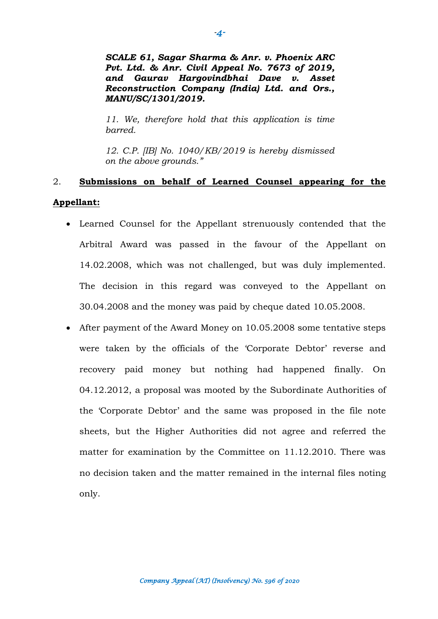*SCALE 61, Sagar Sharma & Anr. v. Phoenix ARC Pvt. Ltd. & Anr. Civil Appeal No. 7673 of 2019, and Gaurav Hargovindbhai Dave v. Asset Reconstruction Company (India) Ltd. and Ors., MANU/SC/1301/2019.*

*11. We, therefore hold that this application is time barred.* 

*12. C.P. [IB] No. 1040/KB/2019 is hereby dismissed on the above grounds."*

## 2. **Submissions on behalf of Learned Counsel appearing for the Appellant:**

- Learned Counsel for the Appellant strenuously contended that the Arbitral Award was passed in the favour of the Appellant on 14.02.2008, which was not challenged, but was duly implemented. The decision in this regard was conveyed to the Appellant on 30.04.2008 and the money was paid by cheque dated 10.05.2008.
- After payment of the Award Money on 10.05.2008 some tentative steps were taken by the officials of the 'Corporate Debtor' reverse and recovery paid money but nothing had happened finally. On 04.12.2012, a proposal was mooted by the Subordinate Authorities of the 'Corporate Debtor' and the same was proposed in the file note sheets, but the Higher Authorities did not agree and referred the matter for examination by the Committee on 11.12.2010. There was no decision taken and the matter remained in the internal files noting only.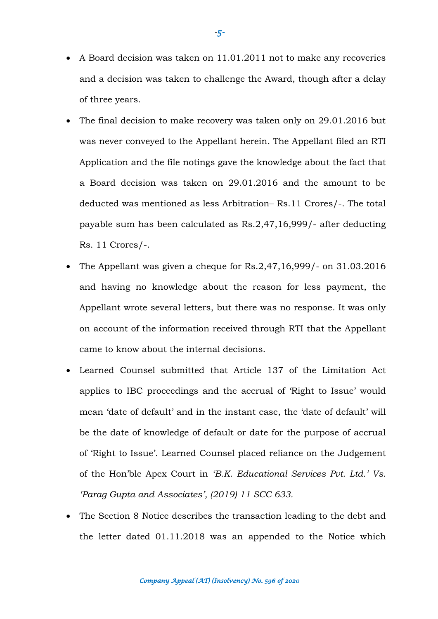- A Board decision was taken on 11.01.2011 not to make any recoveries and a decision was taken to challenge the Award, though after a delay of three years.
- The final decision to make recovery was taken only on 29.01.2016 but was never conveyed to the Appellant herein. The Appellant filed an RTI Application and the file notings gave the knowledge about the fact that a Board decision was taken on 29.01.2016 and the amount to be deducted was mentioned as less Arbitration– Rs.11 Crores/-. The total payable sum has been calculated as Rs.2,47,16,999/- after deducting Rs. 11 Crores/-.
- The Appellant was given a cheque for Rs.2,47,16,999/- on 31.03.2016 and having no knowledge about the reason for less payment, the Appellant wrote several letters, but there was no response. It was only on account of the information received through RTI that the Appellant came to know about the internal decisions.
- Learned Counsel submitted that Article 137 of the Limitation Act applies to IBC proceedings and the accrual of 'Right to Issue' would mean 'date of default' and in the instant case, the 'date of default' will be the date of knowledge of default or date for the purpose of accrual of 'Right to Issue'. Learned Counsel placed reliance on the Judgement of the Hon'ble Apex Court in *'B.K. Educational Services Pvt. Ltd.' Vs. 'Parag Gupta and Associates', (2019) 11 SCC 633.*
- The Section 8 Notice describes the transaction leading to the debt and the letter dated 01.11.2018 was an appended to the Notice which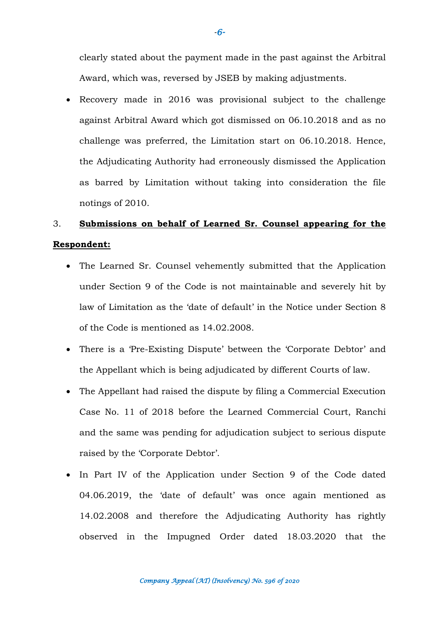clearly stated about the payment made in the past against the Arbitral Award, which was, reversed by JSEB by making adjustments.

 Recovery made in 2016 was provisional subject to the challenge against Arbitral Award which got dismissed on 06.10.2018 and as no challenge was preferred, the Limitation start on 06.10.2018. Hence, the Adjudicating Authority had erroneously dismissed the Application as barred by Limitation without taking into consideration the file notings of 2010.

# 3. **Submissions on behalf of Learned Sr. Counsel appearing for the Respondent:**

- The Learned Sr. Counsel vehemently submitted that the Application under Section 9 of the Code is not maintainable and severely hit by law of Limitation as the 'date of default' in the Notice under Section 8 of the Code is mentioned as 14.02.2008.
- There is a 'Pre-Existing Dispute' between the 'Corporate Debtor' and the Appellant which is being adjudicated by different Courts of law.
- The Appellant had raised the dispute by filing a Commercial Execution Case No. 11 of 2018 before the Learned Commercial Court, Ranchi and the same was pending for adjudication subject to serious dispute raised by the 'Corporate Debtor'.
- In Part IV of the Application under Section 9 of the Code dated 04.06.2019, the 'date of default' was once again mentioned as 14.02.2008 and therefore the Adjudicating Authority has rightly observed in the Impugned Order dated 18.03.2020 that the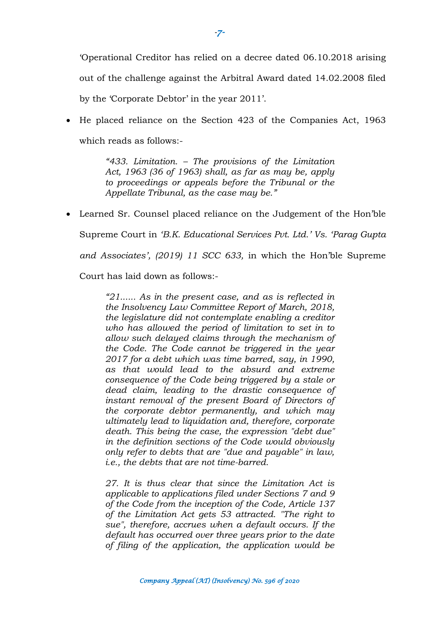'Operational Creditor has relied on a decree dated 06.10.2018 arising out of the challenge against the Arbitral Award dated 14.02.2008 filed by the 'Corporate Debtor' in the year 2011'.

• He placed reliance on the Section 423 of the Companies Act, 1963 which reads as follows:-

> *"433. Limitation. – The provisions of the Limitation Act, 1963 (36 of 1963) shall, as far as may be, apply to proceedings or appeals before the Tribunal or the Appellate Tribunal, as the case may be."*

 Learned Sr. Counsel placed reliance on the Judgement of the Hon'ble Supreme Court in *'B.K. Educational Services Pvt. Ltd.' Vs. 'Parag Gupta and Associates', (2019) 11 SCC 633,* in which the Hon'ble Supreme

Court has laid down as follows:-

*"21...... As in the present case, and as is reflected in the Insolvency Law Committee Report of March, 2018, the legislature did not contemplate enabling a creditor who has allowed the period of limitation to set in to allow such delayed claims through the mechanism of the Code. The Code cannot be triggered in the year 2017 for a debt which was time barred, say, in 1990, as that would lead to the absurd and extreme consequence of the Code being triggered by a stale or dead claim, leading to the drastic consequence of instant removal of the present Board of Directors of the corporate debtor permanently, and which may ultimately lead to liquidation and, therefore, corporate death. This being the case, the expression "debt due" in the definition sections of the Code would obviously only refer to debts that are "due and payable" in law, i.e., the debts that are not time-barred.*

*27. It is thus clear that since the Limitation Act is applicable to applications filed under Sections 7 and 9 of the Code from the inception of the Code, Article 137 of the Limitation Act gets 53 attracted. "The right to sue", therefore, accrues when a default occurs. If the default has occurred over three years prior to the date of filing of the application, the application would be* 

*-7-*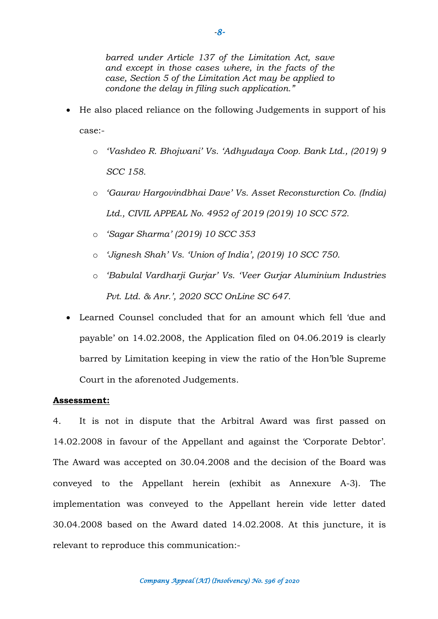- He also placed reliance on the following Judgements in support of his case:
	- o *'Vashdeo R. Bhojwani' Vs. 'Adhyudaya Coop. Bank Ltd., (2019) 9 SCC 158.*
	- o *'Gaurav Hargovindbhai Dave' Vs. Asset Reconsturction Co. (India) Ltd., CIVIL APPEAL No. 4952 of 2019 (2019) 10 SCC 572.*
	- o *'Sagar Sharma' (2019) 10 SCC 353*
	- o *'Jignesh Shah' Vs. 'Union of India', (2019) 10 SCC 750.*
	- o *'Babulal Vardharji Gurjar' Vs. 'Veer Gurjar Aluminium Industries Pvt. Ltd. & Anr.', 2020 SCC OnLine SC 647.*
- Learned Counsel concluded that for an amount which fell 'due and payable' on 14.02.2008, the Application filed on 04.06.2019 is clearly barred by Limitation keeping in view the ratio of the Hon'ble Supreme Court in the aforenoted Judgements.

### **Assessment:**

4. It is not in dispute that the Arbitral Award was first passed on 14.02.2008 in favour of the Appellant and against the 'Corporate Debtor'. The Award was accepted on 30.04.2008 and the decision of the Board was conveyed to the Appellant herein (exhibit as Annexure A-3). The implementation was conveyed to the Appellant herein vide letter dated 30.04.2008 based on the Award dated 14.02.2008. At this juncture, it is relevant to reproduce this communication:-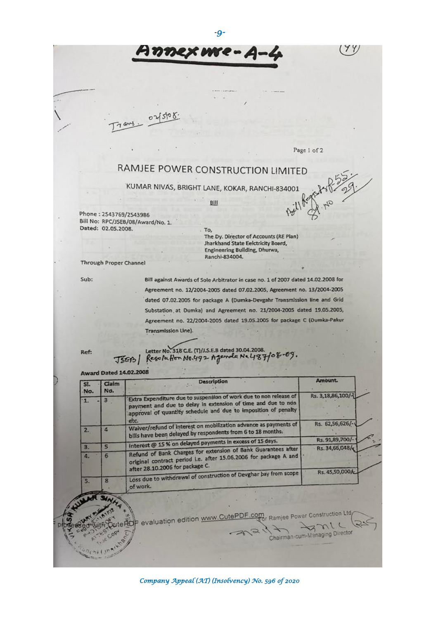*-9-*

 $568$ 

## RAMJEE POWER CONSTRUCTION LIMITED

KUMAR NIVAS, BRIGHT LANE, KOKAR, RANCHI-834001

Bill

Phone: 2543769/2543986 Bill No: RPC/JSEB/08/Award/No. 1. Dated: 02.05.2008.

 $\overline{\omega}$ 

To, The Dy. Director of Accounts (RE Plan) Jharkhand State Eelctricity Board, Engineering Building, Dhurwa, Ranchi-834004.

(79)

Page 1 of 2

Through Proper Channel

Sub:

Bill against Awards of Sole Arbitrator in case no. 1 of 2007 dated 14.02.2008 for Agreement no. 12/2004-2005 dated 07.02.2005, Agreement no. 13/2004-2005 dated 07.02.2005 for package A (Dumka-Devgahr Transmission line and Grid Substation at Dumka) and Agreement no. 21/2004-2005 dated 19.05.2005, Agreement no. 22/2004-2005 dated 19.05.2005 for package C (Dumka-Pakur Transmission Line).

Ref:

D

 $n_{\text{chi}}$ 

Letter No. 318 C.E. (T)/J.S.E.B dated 30.04.2008.<br>Resolution No.492 Agenda Ne487/08-09.

 $4,16,02,2003$ 

JSEB/

| SI.<br>No.   | Claim<br>No.            | <b>Description</b>                                                                                                                                                                                          | Amount.                        |
|--------------|-------------------------|-------------------------------------------------------------------------------------------------------------------------------------------------------------------------------------------------------------|--------------------------------|
| $\mathbf{L}$ | $\mathbf{B}$            | Extra Expenditure due to suspension of work due to non release of<br>payment and due to delay in extension of time and due to non<br>approval of quantity schedule and due to imposition of penalty<br>etc. | Rs. 3,18,86,100/-              |
| 2.           | 4                       | Waiver/refund of interest on mobilization advance as payments of<br>bills have been delayed by respondents from 6 to 18 months.                                                                             | Rs. 62,56,626/-                |
|              |                         | Interest @ 15% on delayed payments in excess of 15 days.                                                                                                                                                    | Rs. 91,89,700/-                |
| 3.           | $\overline{\mathbf{s}}$ | Refund of Bank Charges for extension of Bank Guarantees after                                                                                                                                               | Rs. 34,66,048/c                |
| 4.           | 6                       | original contract period i.e. after 15.06.2006 for package A and<br>after 28.10.2006 for package C.                                                                                                         | Rs. 45,50,000/c                |
| 5.           |                         | Loss due to withdrawal of construction of Devghar bay from scope<br>of work.                                                                                                                                |                                |
|              |                         |                                                                                                                                                                                                             |                                |
|              |                         | P evaluation edition www.CutePDF.com Ramjee Power Construction Ltd                                                                                                                                          |                                |
|              | R CODY                  |                                                                                                                                                                                                             | Chairman-cum-Managing Director |
|              |                         |                                                                                                                                                                                                             |                                |

*Company Appeal (AT) (Insolvency) No. 596 of 2020*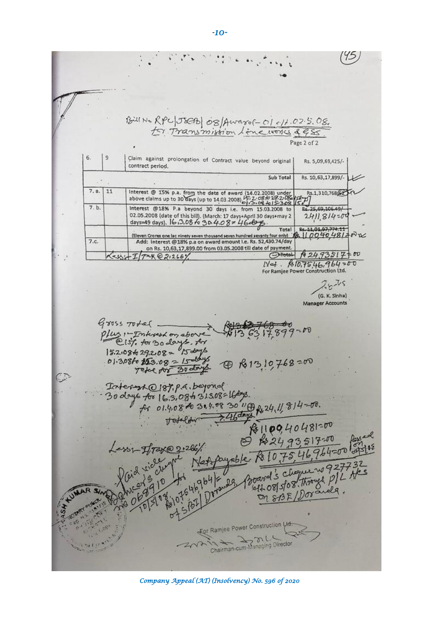45 BUIN RPC JEAN OB/AWAYOR-01-11.02.5.08. Page 2 of 2 6.  $|9$ Claim against prolongation of Contract value beyond original Rs. 5,09,69,425/contract period. Sub Total Rs. 10, 63, 17, 899/-Interest @ 15% p.a. from the date of award (14.02.2008) under<br>above claims up to 30 days (up to 14.03.2008)  $\frac{1572.086}{612.0864152086}$  $7. a.$  $11$ Rs.1,310,768(52) है स्  $7. b.$ Interest @18% P.a beyond 30 days i.e. from 15.03.2008 to Rs. 25,69,106.49/ 02.05.2008 (date of this bill). (March: 17 days+April 30 days+may 2<br>days=49 days). 16.13.08 fo 30.4.08 = 46.09.  $2411,814500$ Total Re-11,01,97,774.11<br>Eleven Crores one lac ninety seven thousand seven hundred seventy four only)  $\frac{R}{15}$  [[ [ [ 0 40 48 1 = 0 ]  $7.c.$ Add: interest @18% p.a on award amount i.e. Rs. 52,430.74/day on Rs. 10,63,17,899.00 from 03.05.2008 till date of payment. OtotoL 1 24,93517=00 Key  $+I/\text{max}(2,2.26)$  $1\sqrt{ad}$ .  $810.7546.764 = 00$ <br>For Ramjee Power Construction Ltd.  $25 - 15$ (G. K. Sinha) **Manager Accounts**  $Gross~\tau v+a$ plus : - Interest on above<br>15.2.08429.2.08 = 15 doys<br>15.2.08429.2.08 = 15 doys<br>01.3.08 to 153.08 = 15 doys @ Re1310,768 =00 Toterast 0187. paragonal<br>30 days to 16:3,084 31308=164%.<br>for 01:4,084 31308=164%.<br>for 01:4,0840 31:4,08 30 "@ R,24,11, 814-00.<br>Todeldw 2460 paragonal  $\mathbb{C}$ 81100,40481=00 ITZK@ 21266  $R$ 107546,964=00 For Ramjee Power Construction Ltd. Chairman-cum-Managing Director

 *Company Appeal (AT) (Insolvency) No. 596 of 2020* 

*-10-*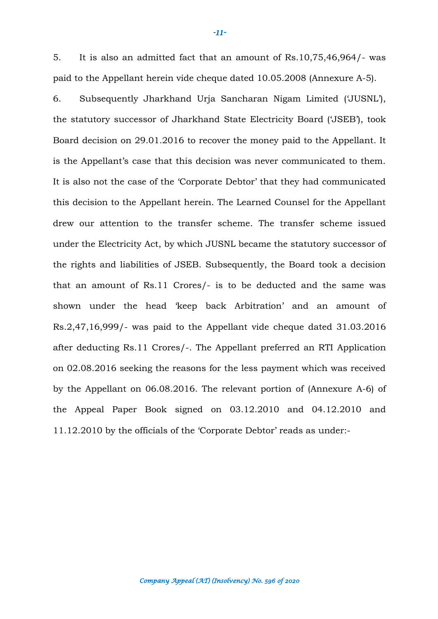5. It is also an admitted fact that an amount of Rs.10,75,46,964/- was paid to the Appellant herein vide cheque dated 10.05.2008 (Annexure A-5).

6. Subsequently Jharkhand Urja Sancharan Nigam Limited ('JUSNL'), the statutory successor of Jharkhand State Electricity Board ('JSEB'), took Board decision on 29.01.2016 to recover the money paid to the Appellant. It is the Appellant's case that this decision was never communicated to them. It is also not the case of the 'Corporate Debtor' that they had communicated this decision to the Appellant herein. The Learned Counsel for the Appellant drew our attention to the transfer scheme. The transfer scheme issued under the Electricity Act, by which JUSNL became the statutory successor of the rights and liabilities of JSEB. Subsequently, the Board took a decision that an amount of Rs.11 Crores/- is to be deducted and the same was shown under the head 'keep back Arbitration' and an amount of Rs.2,47,16,999/- was paid to the Appellant vide cheque dated 31.03.2016 after deducting Rs.11 Crores/-. The Appellant preferred an RTI Application on 02.08.2016 seeking the reasons for the less payment which was received by the Appellant on 06.08.2016. The relevant portion of (Annexure A-6) of the Appeal Paper Book signed on 03.12.2010 and 04.12.2010 and 11.12.2010 by the officials of the 'Corporate Debtor' reads as under:-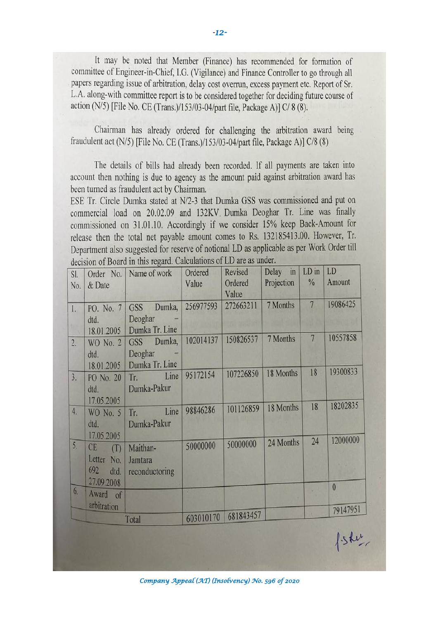It may be noted that Member (Finance) has recommended for formation of committee of Engineer-in-Chief, I.G. (Vigilance) and Finance Controller to go through all papers regarding issue of arbitration, delay cost overrun, excess payment etc. Report of Sr. L.A. along-with committee report is to be considered together for deciding future course of action (N/5) [File No. CE (Trans.)/153/03-04/part file, Package A)] C/ 8 (8).

Chairman has already ordered for challenging the arbitration award being fraudulent act ( $N/5$ ) [File No. CE (Trans.)/153/03-04/part file, Package A)]  $C/8$  (8)

The details of bills had already been recorded. If all payments are taken into account then nothing is due to agency as the amount paid against arbitration award has been turned as fraudulent act by Chairman.

ESE Tr. Circle Dumka stated at N/2-3 that Dumka GSS was commissioned and put on commercial load on 20.02.09 and 132KV Dumka Deoghar Tr. Line was finally commissioned on 31.01.10. Accordingly if we consider 15% keep Back-Amount for release then the total net payable amount comes to Rs. 132185413.00. However, Tr. Department also suggested for reserve of notional LD as applicable as per Work Order till decision of Board in this regard. Calculations of LD are as under.

| SI.   | Order No.   | Name of work         | Ordered   | Revised          | Delay $\left  \text{in} \right $ | LD in          | LD             |
|-------|-------------|----------------------|-----------|------------------|----------------------------------|----------------|----------------|
| No.   | & Date      |                      | Value     | Ordered<br>Value | Projection                       | $\frac{0}{6}$  | Amount         |
| 1.    | PO. No. 7   | Dumka,<br><b>GSS</b> | 256977593 | 272663211        | 7 Months                         | $\overline{7}$ | 19086425       |
|       | dtd.        | Deoghar              |           |                  |                                  |                |                |
|       | 18.01.2005  | Dumka Tr. Line       |           |                  |                                  | 7              | 10557858       |
| 2.    | WO No. 2    | GSS Dumka,           | 102014137 | 150826537        | 7 Months                         |                |                |
|       | dtd.        | Deoghar              |           |                  |                                  |                |                |
|       | 18.01.2005  | Dumka Tr. Line       |           |                  |                                  |                |                |
| 3.    | PO No. 20   | Tr. Line             | 95172154  | 107226850        | 18 Months                        | 18             | 19300833       |
|       | dtd.        | Dumka-Pakur          |           |                  |                                  |                |                |
|       | 17.05.2005  |                      |           |                  |                                  |                |                |
| 4.    | WO No. 5    | Tr. Line             | 98846286  | 101126859        | 18 Months                        | 18             | 18202835       |
|       |             |                      |           |                  |                                  |                |                |
|       | dtd.        | Dumka-Pakur          |           |                  |                                  |                |                |
|       | 17.05.2005  |                      |           | 50000000         | 24 Months                        | 24             | 12000000       |
| 5.    | CE<br>(T)   | Maithan-             | 50000000  |                  |                                  |                |                |
|       | Letter No.  | Jamtara              |           |                  |                                  |                |                |
|       | 692<br>dtd. | reconductoring       |           |                  |                                  |                |                |
|       | 27.09.2008  |                      |           |                  |                                  |                |                |
| 6.    | Award of    |                      |           |                  |                                  |                | $\overline{0}$ |
|       | arbitration |                      |           |                  |                                  |                |                |
|       |             |                      | 603010170 | 681843457        |                                  |                | 79147951       |
| Total |             |                      |           |                  |                                  |                |                |

 *Company Appeal (AT) (Insolvency) No. 596 of 2020*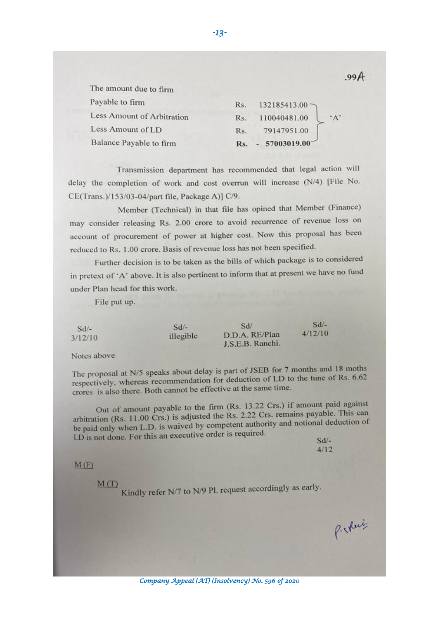| The amount due to firm     |                                      |
|----------------------------|--------------------------------------|
| Payable to firm            | 132185413.00<br>Rs.                  |
| Less Amount of Arbitration | $^{\circ}$ A'<br>110040481.00<br>Rs. |
| Less Amount of LD          | 79147951.00<br>Rs.                   |
| Balance Payable to firm    | 57003019.00<br>Rs.                   |

Transmission department has recommended that legal action will delay the completion of work and cost overrun will increase (N/4) [File No. CE(Trans.)/153/03-04/part file, Package A)] C/9.

Member (Technical) in that file has opined that Member (Finance) may consider releasing Rs. 2.00 crore to avoid recurrence of revenue loss on account of procurement of power at higher cost. Now this proposal has been reduced to Rs. 1.00 crore. Basis of revenue loss has not been specified.

Further decision is to be taken as the bills of which package is to considered in pretext of 'A' above. It is also pertinent to inform that at present we have no fund under Plan head for this work.

File put up.

| $Sd/-$ | $Sd/-$    | Sd/              | $Sd$ –  |
|--------|-----------|------------------|---------|
| 12/10  | illegible | D.D.A. RE/Plan   | 4/12/10 |
|        |           | J.S.E.B. Ranchi. |         |

Notes above

 $3<sub>i</sub>$ 

The proposal at  $N/5$  speaks about delay is part of JSEB for 7 months and 18 moths The proposal at N/5 speaks about delay is part of 35LB for  $\gamma$  months and re-<br>respectively, whereas recommendation for deduction of LD to the tune of Rs. 6.62 crores is also there. Both cannot be effective at the same time.

Out of amount payable to the firm (Rs. 13.22 Crs.) if amount paid against<br>
Note to the firm (Rs. 13.22 Crs.) if amount paid against Out of amount payable to the firm (Ks. 13.22 Cfs.) It amount payable.<br>arbitration (Rs. 11.00 Crs.) is adjusted the Rs. 2.22 Crs. remains payable. This can arbitration (Rs. 11.00 Crs.) is adjusted the Ks. 2.22 Crs. remains payable. This can<br>be paid only when L.D. is waived by competent authority and notional deduction of LD is not done. For this an executive order is required.

 $Sd/ 4/12$ 

#### $M(F)$

 $M(T)$ 

Kindly refer N/7 to N/9 Pl. request accordingly as early.

 $.99A$ 

*-13-*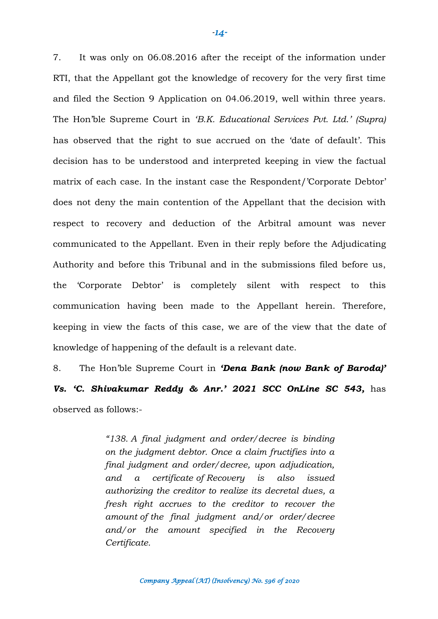7. It was only on 06.08.2016 after the receipt of the information under RTI, that the Appellant got the knowledge of recovery for the very first time and filed the Section 9 Application on 04.06.2019, well within three years. The Hon'ble Supreme Court in *'B.K. Educational Services Pvt. Ltd.' (Supra)* has observed that the right to sue accrued on the 'date of default'. This decision has to be understood and interpreted keeping in view the factual matrix of each case. In the instant case the Respondent/'Corporate Debtor' does not deny the main contention of the Appellant that the decision with respect to recovery and deduction of the Arbitral amount was never communicated to the Appellant. Even in their reply before the Adjudicating Authority and before this Tribunal and in the submissions filed before us, the 'Corporate Debtor' is completely silent with respect to this communication having been made to the Appellant herein. Therefore, keeping in view the facts of this case, we are of the view that the date of knowledge of happening of the default is a relevant date.

8. The Hon'ble Supreme Court in *'Dena Bank (now Bank of Baroda)' Vs. 'C. Shivakumar Reddy & Anr.' 2021 SCC OnLine SC 543,* has observed as follows:-

> *"138. A final judgment and order/decree is binding on the judgment debtor. Once a claim fructifies into a final judgment and order/decree, upon adjudication, and a certificate of Recovery is also issued authorizing the creditor to realize its decretal dues, a fresh right accrues to the creditor to recover the amount of the final judgment and/or order/decree and/or the amount specified in the Recovery Certificate.*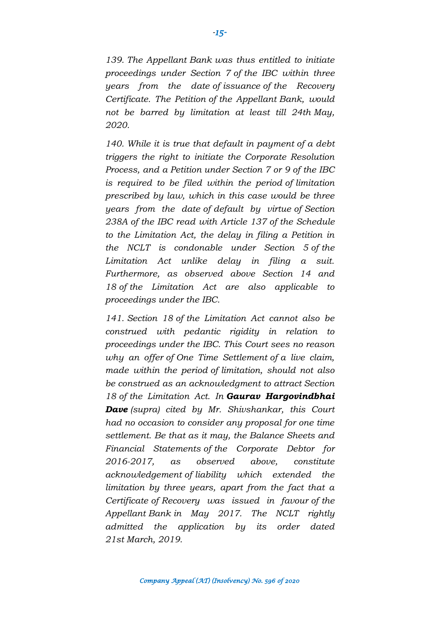*139. The Appellant Bank was thus entitled to initiate proceedings under Section 7 of the IBC within three years from the date of issuance of the Recovery Certificate. The Petition of the Appellant Bank, would not be barred by limitation at least till 24th May, 2020.*

*140. While it is true that default in payment of a debt triggers the right to initiate the Corporate Resolution Process, and a Petition under Section 7 or 9 of the IBC is required to be filed within the period of limitation prescribed by law, which in this case would be three years from the date of default by virtue of Section 238A of the IBC read with Article 137 of the Schedule to the Limitation Act, the delay in filing a Petition in the NCLT is condonable under Section 5 of the Limitation Act unlike delay in filing a suit. Furthermore, as observed above Section 14 and 18 of the Limitation Act are also applicable to proceedings under the IBC.*

*141. Section 18 of the Limitation Act cannot also be construed with pedantic rigidity in relation to proceedings under the IBC. This Court sees no reason why an offer of One Time Settlement of a live claim, made within the period of limitation, should not also be construed as an acknowledgment to attract Section 18 of the Limitation Act. In Gaurav Hargovindbhai Dave (supra) cited by Mr. Shivshankar, this Court had no occasion to consider any proposal for one time settlement. Be that as it may, the Balance Sheets and Financial Statements of the Corporate Debtor for 2016-2017, as observed above, constitute acknowledgement of liability which extended the limitation by three years, apart from the fact that a Certificate of Recovery was issued in favour of the Appellant Bank in May 2017. The NCLT rightly admitted the application by its order dated 21st March, 2019.*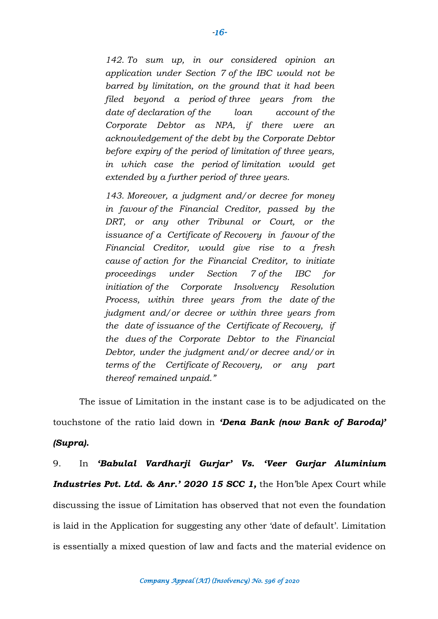*142. To sum up, in our considered opinion an application under Section 7 of the IBC would not be barred by limitation, on the ground that it had been filed beyond a period of three years from the date of declaration of the loan account of the Corporate Debtor as NPA, if there were an acknowledgement of the debt by the Corporate Debtor before expiry of the period of limitation of three years, in which case the period of limitation would get extended by a further period of three years.*

*143. Moreover, a judgment and/or decree for money in favour of the Financial Creditor, passed by the DRT, or any other Tribunal or Court, or the issuance of a Certificate of Recovery in favour of the Financial Creditor, would give rise to a fresh cause of action for the Financial Creditor, to initiate proceedings under Section 7 of the IBC for initiation of the Corporate Insolvency Resolution Process, within three years from the date of the judgment and/or decree or within three years from the date of issuance of the Certificate of Recovery, if the dues of the Corporate Debtor to the Financial Debtor, under the judgment and/or decree and/or in terms of the Certificate of Recovery, or any part thereof remained unpaid."*

The issue of Limitation in the instant case is to be adjudicated on the

touchstone of the ratio laid down in *'Dena Bank (now Bank of Baroda)'* 

#### *(Supra).*

9. In *'Babulal Vardharji Gurjar' Vs. 'Veer Gurjar Aluminium Industries Pvt. Ltd. & Anr.' 2020 15 SCC 1,* the Hon'ble Apex Court while discussing the issue of Limitation has observed that not even the foundation is laid in the Application for suggesting any other 'date of default'. Limitation is essentially a mixed question of law and facts and the material evidence on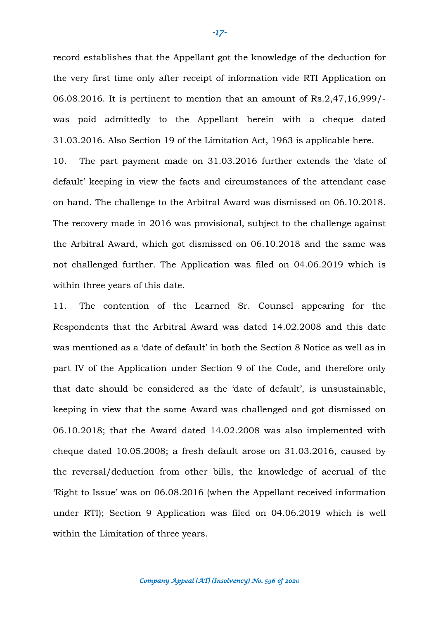record establishes that the Appellant got the knowledge of the deduction for the very first time only after receipt of information vide RTI Application on 06.08.2016. It is pertinent to mention that an amount of Rs.2,47,16,999/ was paid admittedly to the Appellant herein with a cheque dated 31.03.2016. Also Section 19 of the Limitation Act, 1963 is applicable here.

10. The part payment made on 31.03.2016 further extends the 'date of default' keeping in view the facts and circumstances of the attendant case on hand. The challenge to the Arbitral Award was dismissed on 06.10.2018. The recovery made in 2016 was provisional, subject to the challenge against the Arbitral Award, which got dismissed on 06.10.2018 and the same was not challenged further. The Application was filed on 04.06.2019 which is within three years of this date.

11. The contention of the Learned Sr. Counsel appearing for the Respondents that the Arbitral Award was dated 14.02.2008 and this date was mentioned as a 'date of default' in both the Section 8 Notice as well as in part IV of the Application under Section 9 of the Code, and therefore only that date should be considered as the 'date of default', is unsustainable, keeping in view that the same Award was challenged and got dismissed on 06.10.2018; that the Award dated 14.02.2008 was also implemented with cheque dated 10.05.2008; a fresh default arose on 31.03.2016, caused by the reversal/deduction from other bills, the knowledge of accrual of the 'Right to Issue' was on 06.08.2016 (when the Appellant received information under RTI); Section 9 Application was filed on 04.06.2019 which is well within the Limitation of three years.

*-17-*